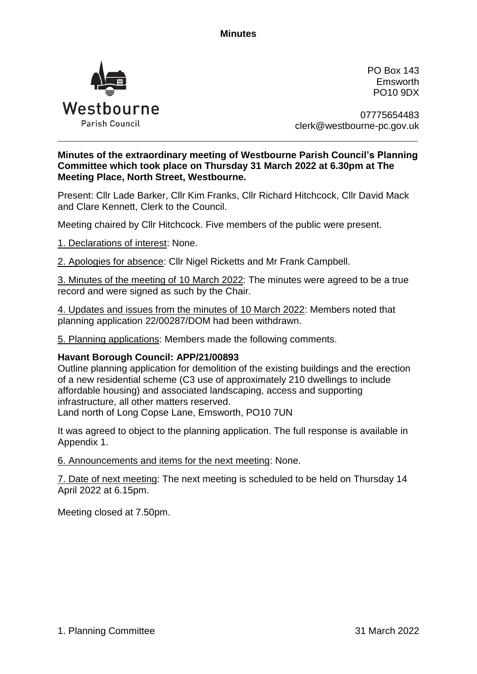**Minutes**



PO Box 143 Emsworth PO10 9DX

07775654483 clerk@westbourne-pc.gov.uk

## **Minutes of the extraordinary meeting of Westbourne Parish Council's Planning Committee which took place on Thursday 31 March 2022 at 6.30pm at The Meeting Place, North Street, Westbourne.**

\_\_\_\_\_\_\_\_\_\_\_\_\_\_\_\_\_\_\_\_\_\_\_\_\_\_\_\_\_\_\_\_\_\_\_\_\_\_\_\_\_\_\_\_\_\_\_\_\_\_\_\_\_\_\_\_\_\_\_\_\_\_\_\_\_\_\_\_\_\_\_\_\_\_\_\_\_\_\_\_\_\_\_\_\_\_\_\_\_\_\_\_\_\_\_\_\_\_\_\_\_

Present: Cllr Lade Barker, Cllr Kim Franks, Cllr Richard Hitchcock, Cllr David Mack and Clare Kennett, Clerk to the Council.

Meeting chaired by Cllr Hitchcock. Five members of the public were present.

1. Declarations of interest: None.

2. Apologies for absence: Cllr Nigel Ricketts and Mr Frank Campbell.

3. Minutes of the meeting of 10 March 2022: The minutes were agreed to be a true record and were signed as such by the Chair.

4. Updates and issues from the minutes of 10 March 2022: Members noted that planning application 22/00287/DOM had been withdrawn.

5. Planning applications: Members made the following comments.

## **Havant Borough Council: APP/21/00893**

Outline planning application for demolition of the existing buildings and the erection of a new residential scheme (C3 use of approximately 210 dwellings to include affordable housing) and associated landscaping, access and supporting infrastructure, all other matters reserved. Land north of Long Copse Lane, Emsworth, PO10 7UN

It was agreed to object to the planning application. The full response is available in Appendix 1.

6. Announcements and items for the next meeting: None.

7. Date of next meeting: The next meeting is scheduled to be held on Thursday 14 April 2022 at 6.15pm.

Meeting closed at 7.50pm.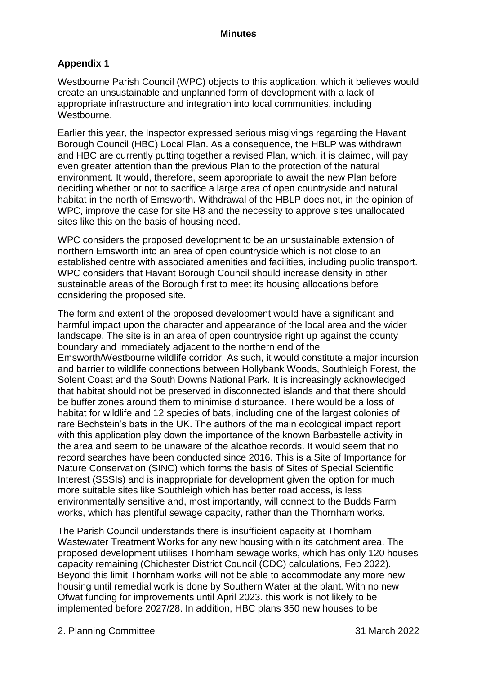## **Appendix 1**

Westbourne Parish Council (WPC) objects to this application, which it believes would create an unsustainable and unplanned form of development with a lack of appropriate infrastructure and integration into local communities, including Westbourne.

Earlier this year, the Inspector expressed serious misgivings regarding the Havant Borough Council (HBC) Local Plan. As a consequence, the HBLP was withdrawn and HBC are currently putting together a revised Plan, which, it is claimed, will pay even greater attention than the previous Plan to the protection of the natural environment. It would, therefore, seem appropriate to await the new Plan before deciding whether or not to sacrifice a large area of open countryside and natural habitat in the north of Emsworth. Withdrawal of the HBLP does not, in the opinion of WPC, improve the case for site H8 and the necessity to approve sites unallocated sites like this on the basis of housing need.

WPC considers the proposed development to be an unsustainable extension of northern Emsworth into an area of open countryside which is not close to an established centre with associated amenities and facilities, including public transport. WPC considers that Havant Borough Council should increase density in other sustainable areas of the Borough first to meet its housing allocations before considering the proposed site.

The form and extent of the proposed development would have a significant and harmful impact upon the character and appearance of the local area and the wider landscape. The site is in an area of open countryside right up against the county boundary and immediately adjacent to the northern end of the Emsworth/Westbourne wildlife corridor. As such, it would constitute a major incursion and barrier to wildlife connections between Hollybank Woods, Southleigh Forest, the Solent Coast and the South Downs National Park. It is increasingly acknowledged that habitat should not be preserved in disconnected islands and that there should be buffer zones around them to minimise disturbance. There would be a loss of habitat for wildlife and 12 species of bats, including one of the largest colonies of rare Bechstein's bats in the UK. The authors of the main ecological impact report with this application play down the importance of the known Barbastelle activity in the area and seem to be unaware of the alcathoe records. It would seem that no record searches have been conducted since 2016. This is a Site of Importance for Nature Conservation (SINC) which forms the basis of Sites of Special Scientific Interest (SSSIs) and is inappropriate for development given the option for much more suitable sites like Southleigh which has better road access, is less environmentally sensitive and, most importantly, will connect to the Budds Farm works, which has plentiful sewage capacity, rather than the Thornham works.

The Parish Council understands there is insufficient capacity at Thornham Wastewater Treatment Works for any new housing within its catchment area. The proposed development utilises Thornham sewage works, which has only 120 houses capacity remaining (Chichester District Council (CDC) calculations, Feb 2022). Beyond this limit Thornham works will not be able to accommodate any more new housing until remedial work is done by Southern Water at the plant. With no new Ofwat funding for improvements until April 2023. this work is not likely to be implemented before 2027/28. In addition, HBC plans 350 new houses to be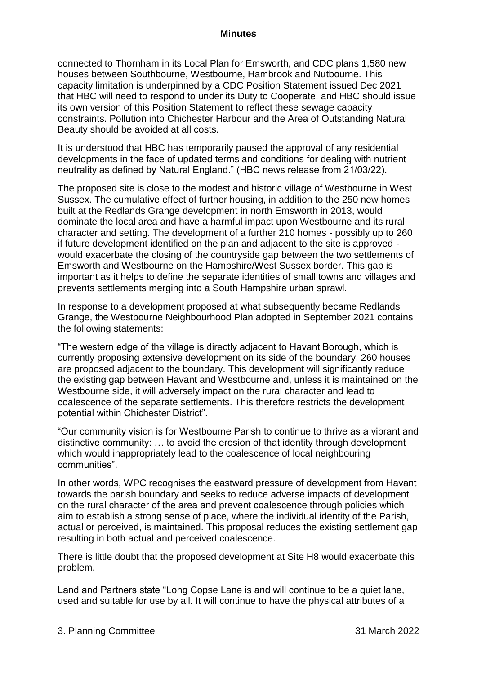connected to Thornham in its Local Plan for Emsworth, and CDC plans 1,580 new houses between Southbourne, Westbourne, Hambrook and Nutbourne. This capacity limitation is underpinned by a CDC Position Statement issued Dec 2021 that HBC will need to respond to under its Duty to Cooperate, and HBC should issue its own version of this Position Statement to reflect these sewage capacity constraints. Pollution into Chichester Harbour and the Area of Outstanding Natural Beauty should be avoided at all costs.

It is understood that HBC has temporarily paused the approval of any residential developments in the face of updated terms and conditions for dealing with nutrient neutrality as defined by Natural England." (HBC news release from 21/03/22).

The proposed site is close to the modest and historic village of Westbourne in West Sussex. The cumulative effect of further housing, in addition to the 250 new homes built at the Redlands Grange development in north Emsworth in 2013, would dominate the local area and have a harmful impact upon Westbourne and its rural character and setting. The development of a further 210 homes - possibly up to 260 if future development identified on the plan and adjacent to the site is approved would exacerbate the closing of the countryside gap between the two settlements of Emsworth and Westbourne on the Hampshire/West Sussex border. This gap is important as it helps to define the separate identities of small towns and villages and prevents settlements merging into a South Hampshire urban sprawl.

In response to a development proposed at what subsequently became Redlands Grange, the Westbourne Neighbourhood Plan adopted in September 2021 contains the following statements:

"The western edge of the village is directly adjacent to Havant Borough, which is currently proposing extensive development on its side of the boundary. 260 houses are proposed adjacent to the boundary. This development will significantly reduce the existing gap between Havant and Westbourne and, unless it is maintained on the Westbourne side, it will adversely impact on the rural character and lead to coalescence of the separate settlements. This therefore restricts the development potential within Chichester District".

"Our community vision is for Westbourne Parish to continue to thrive as a vibrant and distinctive community: … to avoid the erosion of that identity through development which would inappropriately lead to the coalescence of local neighbouring communities".

In other words, WPC recognises the eastward pressure of development from Havant towards the parish boundary and seeks to reduce adverse impacts of development on the rural character of the area and prevent coalescence through policies which aim to establish a strong sense of place, where the individual identity of the Parish, actual or perceived, is maintained. This proposal reduces the existing settlement gap resulting in both actual and perceived coalescence.

There is little doubt that the proposed development at Site H8 would exacerbate this problem.

Land and Partners state "Long Copse Lane is and will continue to be a quiet lane, used and suitable for use by all. It will continue to have the physical attributes of a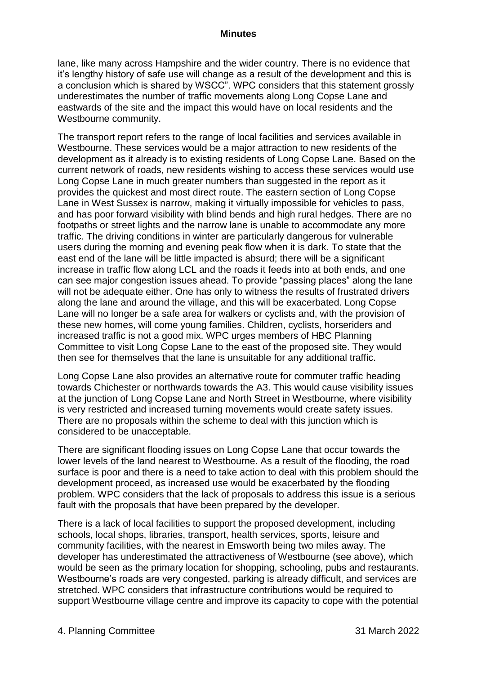lane, like many across Hampshire and the wider country. There is no evidence that it's lengthy history of safe use will change as a result of the development and this is a conclusion which is shared by WSCC". WPC considers that this statement grossly underestimates the number of traffic movements along Long Copse Lane and eastwards of the site and the impact this would have on local residents and the Westbourne community.

The transport report refers to the range of local facilities and services available in Westbourne. These services would be a major attraction to new residents of the development as it already is to existing residents of Long Copse Lane. Based on the current network of roads, new residents wishing to access these services would use Long Copse Lane in much greater numbers than suggested in the report as it provides the quickest and most direct route. The eastern section of Long Copse Lane in West Sussex is narrow, making it virtually impossible for vehicles to pass, and has poor forward visibility with blind bends and high rural hedges. There are no footpaths or street lights and the narrow lane is unable to accommodate any more traffic. The driving conditions in winter are particularly dangerous for vulnerable users during the morning and evening peak flow when it is dark. To state that the east end of the lane will be little impacted is absurd; there will be a significant increase in traffic flow along LCL and the roads it feeds into at both ends, and one can see major congestion issues ahead. To provide "passing places" along the lane will not be adequate either. One has only to witness the results of frustrated drivers along the lane and around the village, and this will be exacerbated. Long Copse Lane will no longer be a safe area for walkers or cyclists and, with the provision of these new homes, will come young families. Children, cyclists, horseriders and increased traffic is not a good mix. WPC urges members of HBC Planning Committee to visit Long Copse Lane to the east of the proposed site. They would then see for themselves that the lane is unsuitable for any additional traffic.

Long Copse Lane also provides an alternative route for commuter traffic heading towards Chichester or northwards towards the A3. This would cause visibility issues at the junction of Long Copse Lane and North Street in Westbourne, where visibility is very restricted and increased turning movements would create safety issues. There are no proposals within the scheme to deal with this junction which is considered to be unacceptable.

There are significant flooding issues on Long Copse Lane that occur towards the lower levels of the land nearest to Westbourne. As a result of the flooding, the road surface is poor and there is a need to take action to deal with this problem should the development proceed, as increased use would be exacerbated by the flooding problem. WPC considers that the lack of proposals to address this issue is a serious fault with the proposals that have been prepared by the developer.

There is a lack of local facilities to support the proposed development, including schools, local shops, libraries, transport, health services, sports, leisure and community facilities, with the nearest in Emsworth being two miles away. The developer has underestimated the attractiveness of Westbourne (see above), which would be seen as the primary location for shopping, schooling, pubs and restaurants. Westbourne's roads are very congested, parking is already difficult, and services are stretched. WPC considers that infrastructure contributions would be required to support Westbourne village centre and improve its capacity to cope with the potential